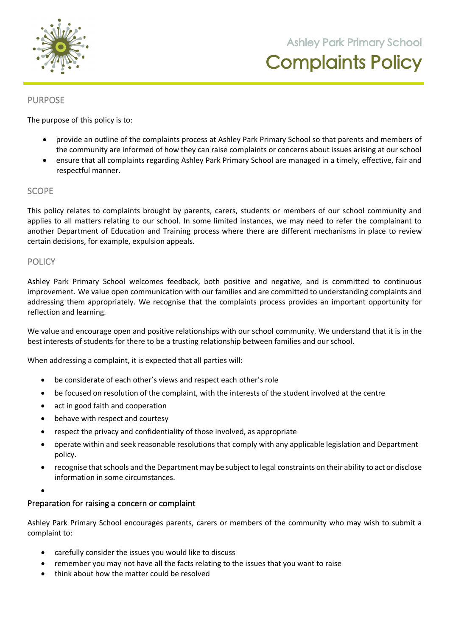

**105 Orchard Road Doreen 3754**

### PURPOSE

The purpose of this policy is to:

- provide an outline of the complaints process at Ashley Park Primary School so that parents and members of the community are informed of how they can raise complaints or concerns about issues arising at our school
- ensure that all complaints regarding Ashley Park Primary School are managed in a timely, effective, fair and respectful manner.

### SCOPE

This policy relates to complaints brought by parents, carers, students or members of our school community and applies to all matters relating to our school. In some limited instances, we may need to refer the complainant to another Department of Education and Training process where there are different mechanisms in place to review certain decisions, for example, expulsion appeals.

### **POLICY**

Ashley Park Primary School welcomes feedback, both positive and negative, and is committed to continuous improvement. We value open communication with our families and are committed to understanding complaints and addressing them appropriately. We recognise that the complaints process provides an important opportunity for reflection and learning.

We value and encourage open and positive relationships with our school community. We understand that it is in the best interests of students for there to be a trusting relationship between families and our school.

When addressing a complaint, it is expected that all parties will:

- be considerate of each other's views and respect each other's role
- be focused on resolution of the complaint, with the interests of the student involved at the centre
- act in good faith and cooperation
- behave with respect and courtesy
- respect the privacy and confidentiality of those involved, as appropriate
- operate within and seek reasonable resolutions that comply with any applicable legislation and Department policy.
- recognise that schools and the Department may be subject to legal constraints on their ability to act or disclose information in some circumstances.

•

### Preparation for raising a concern or complaint

Ashley Park Primary School encourages parents, carers or members of the community who may wish to submit a complaint to:

- carefully consider the issues you would like to discuss
- remember you may not have all the facts relating to the issues that you want to raise
- think about how the matter could be resolved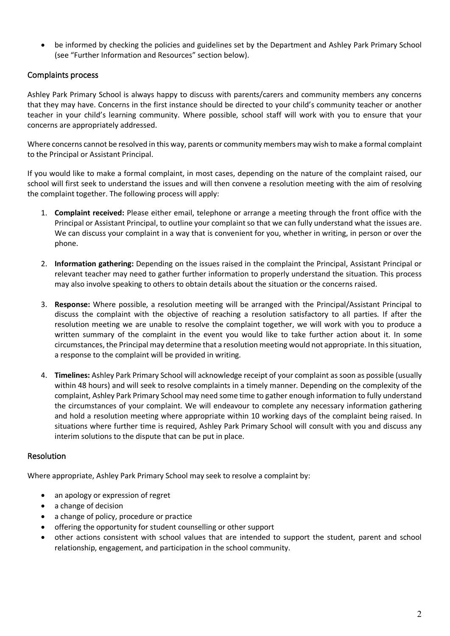• be informed by checking the policies and guidelines set by the Department and Ashley Park Primary School (see "Further Information and Resources" section below).

## Complaints process

Ashley Park Primary School is always happy to discuss with parents/carers and community members any concerns that they may have. Concerns in the first instance should be directed to your child's community teacher or another teacher in your child's learning community. Where possible, school staff will work with you to ensure that your concerns are appropriately addressed.

Where concerns cannot be resolved in this way, parents or community members may wish to make a formal complaint to the Principal or Assistant Principal.

If you would like to make a formal complaint, in most cases, depending on the nature of the complaint raised, our school will first seek to understand the issues and will then convene a resolution meeting with the aim of resolving the complaint together. The following process will apply:

- 1. **Complaint received:** Please either email, telephone or arrange a meeting through the front office with the Principal or Assistant Principal, to outline your complaint so that we can fully understand what the issues are. We can discuss your complaint in a way that is convenient for you, whether in writing, in person or over the phone.
- 2. **Information gathering:** Depending on the issues raised in the complaint the Principal, Assistant Principal or relevant teacher may need to gather further information to properly understand the situation. This process may also involve speaking to others to obtain details about the situation or the concerns raised.
- 3. **Response:** Where possible, a resolution meeting will be arranged with the Principal/Assistant Principal to discuss the complaint with the objective of reaching a resolution satisfactory to all parties. If after the resolution meeting we are unable to resolve the complaint together, we will work with you to produce a written summary of the complaint in the event you would like to take further action about it. In some circumstances, the Principal may determine that a resolution meeting would not appropriate. In this situation, a response to the complaint will be provided in writing.
- 4. **Timelines:** Ashley Park Primary School will acknowledge receipt of your complaint as soon as possible (usually within 48 hours) and will seek to resolve complaints in a timely manner. Depending on the complexity of the complaint, Ashley Park Primary School may need some time to gather enough information to fully understand the circumstances of your complaint. We will endeavour to complete any necessary information gathering and hold a resolution meeting where appropriate within 10 working days of the complaint being raised. In situations where further time is required, Ashley Park Primary School will consult with you and discuss any interim solutions to the dispute that can be put in place.

### Resolution

Where appropriate, Ashley Park Primary School may seek to resolve a complaint by:

- an apology or expression of regret
- a change of decision
- a change of policy, procedure or practice
- offering the opportunity for student counselling or other support
- other actions consistent with school values that are intended to support the student, parent and school relationship, engagement, and participation in the school community.